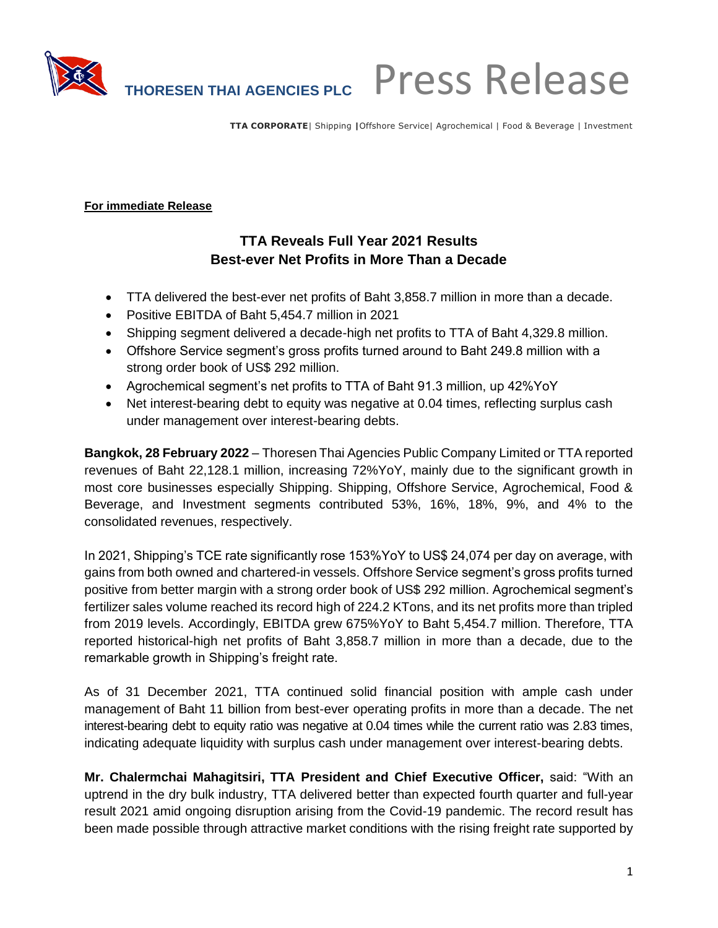

**TTA CORPORATE**| Shipping **|**Offshore Service| Agrochemical | Food & Beverage | Investment

#### **For immediate Release**

## **TTA Reveals Full Year 2021 Results Best-ever Net Profits in More Than a Decade**

- TTA delivered the best-ever net profits of Baht 3,858.7 million in more than a decade.
- Positive EBITDA of Baht 5,454.7 million in 2021
- Shipping segment delivered a decade-high net profits to TTA of Baht 4,329.8 million.
- Offshore Service segment's gross profits turned around to Baht 249.8 million with a strong order book of US\$ 292 million.
- Agrochemical segment's net profits to TTA of Baht 91.3 million, up 42%YoY
- Net interest-bearing debt to equity was negative at 0.04 times, reflecting surplus cash under management over interest-bearing debts.

**Bangkok, 28 February 2022** – Thoresen Thai Agencies Public Company Limited or TTA reported revenues of Baht 22,128.1 million, increasing 72%YoY, mainly due to the significant growth in most core businesses especially Shipping. Shipping, Offshore Service, Agrochemical, Food & Beverage, and Investment segments contributed 53%, 16%, 18%, 9%, and 4% to the consolidated revenues, respectively.

In 2021, Shipping's TCE rate significantly rose 153%YoY to US\$ 24,074 per day on average, with gains from both owned and chartered-in vessels. Offshore Service segment's gross profits turned positive from better margin with a strong order book of US\$ 292 million. Agrochemical segment's fertilizer sales volume reached its record high of 224.2 KTons, and its net profits more than tripled from 2019 levels. Accordingly, EBITDA grew 675%YoY to Baht 5,454.7 million. Therefore, TTA reported historical-high net profits of Baht 3,858.7 million in more than a decade, due to the remarkable growth in Shipping's freight rate.

As of 31 December 2021, TTA continued solid financial position with ample cash under management of Baht 11 billion from best-ever operating profits in more than a decade. The net interest-bearing debt to equity ratio was negative at 0.04 times while the current ratio was 2.83 times, indicating adequate liquidity with surplus cash under management over interest-bearing debts.

**Mr. Chalermchai Mahagitsiri, TTA President and Chief Executive Officer,** said: "With an uptrend in the dry bulk industry, TTA delivered better than expected fourth quarter and full-year result 2021 amid ongoing disruption arising from the Covid-19 pandemic. The record result has been made possible through attractive market conditions with the rising freight rate supported by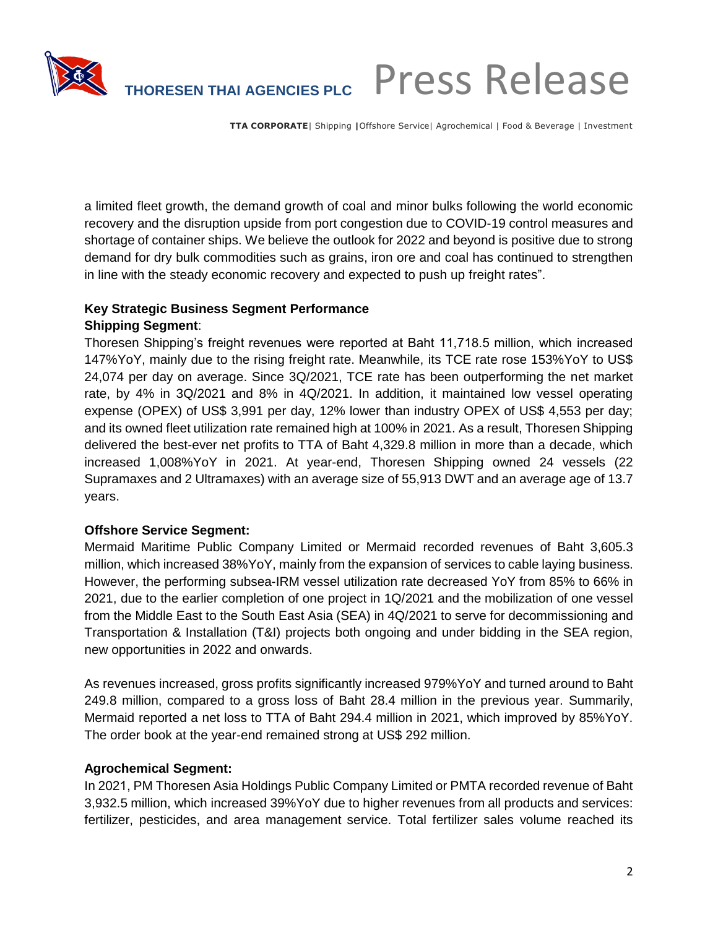

# **THORESEN THAI AGENCIES PLC** Press Release

**TTA CORPORATE**| Shipping **|**Offshore Service| Agrochemical | Food & Beverage | Investment

a limited fleet growth, the demand growth of coal and minor bulks following the world economic recovery and the disruption upside from port congestion due to COVID-19 control measures and shortage of container ships. We believe the outlook for 2022 and beyond is positive due to strong demand for dry bulk commodities such as grains, iron ore and coal has continued to strengthen in line with the steady economic recovery and expected to push up freight rates".

## **Key Strategic Business Segment Performance**

### **Shipping Segment**:

Thoresen Shipping's freight revenues were reported at Baht 11,718.5 million, which increased 147%YoY, mainly due to the rising freight rate. Meanwhile, its TCE rate rose 153%YoY to US\$ 24,074 per day on average. Since 3Q/2021, TCE rate has been outperforming the net market rate, by 4% in 3Q/2021 and 8% in 4Q/2021. In addition, it maintained low vessel operating expense (OPEX) of US\$ 3,991 per day, 12% lower than industry OPEX of US\$ 4,553 per day; and its owned fleet utilization rate remained high at 100% in 2021. As a result, Thoresen Shipping delivered the best-ever net profits to TTA of Baht 4,329.8 million in more than a decade, which increased 1,008%YoY in 2021. At year-end, Thoresen Shipping owned 24 vessels (22 Supramaxes and 2 Ultramaxes) with an average size of 55,913 DWT and an average age of 13.7 years.

### **Offshore Service Segment:**

Mermaid Maritime Public Company Limited or Mermaid recorded revenues of Baht 3,605.3 million, which increased 38%YoY, mainly from the expansion of services to cable laying business. However, the performing subsea-IRM vessel utilization rate decreased YoY from 85% to 66% in 2021, due to the earlier completion of one project in 1Q/2021 and the mobilization of one vessel from the Middle East to the South East Asia (SEA) in 4Q/2021 to serve for decommissioning and Transportation & Installation (T&I) projects both ongoing and under bidding in the SEA region, new opportunities in 2022 and onwards.

As revenues increased, gross profits significantly increased 979%YoY and turned around to Baht 249.8 million, compared to a gross loss of Baht 28.4 million in the previous year. Summarily, Mermaid reported a net loss to TTA of Baht 294.4 million in 2021, which improved by 85%YoY. The order book at the year-end remained strong at US\$ 292 million.

### **Agrochemical Segment:**

In 2021, PM Thoresen Asia Holdings Public Company Limited or PMTA recorded revenue of Baht 3,932.5 million, which increased 39%YoY due to higher revenues from all products and services: fertilizer, pesticides, and area management service. Total fertilizer sales volume reached its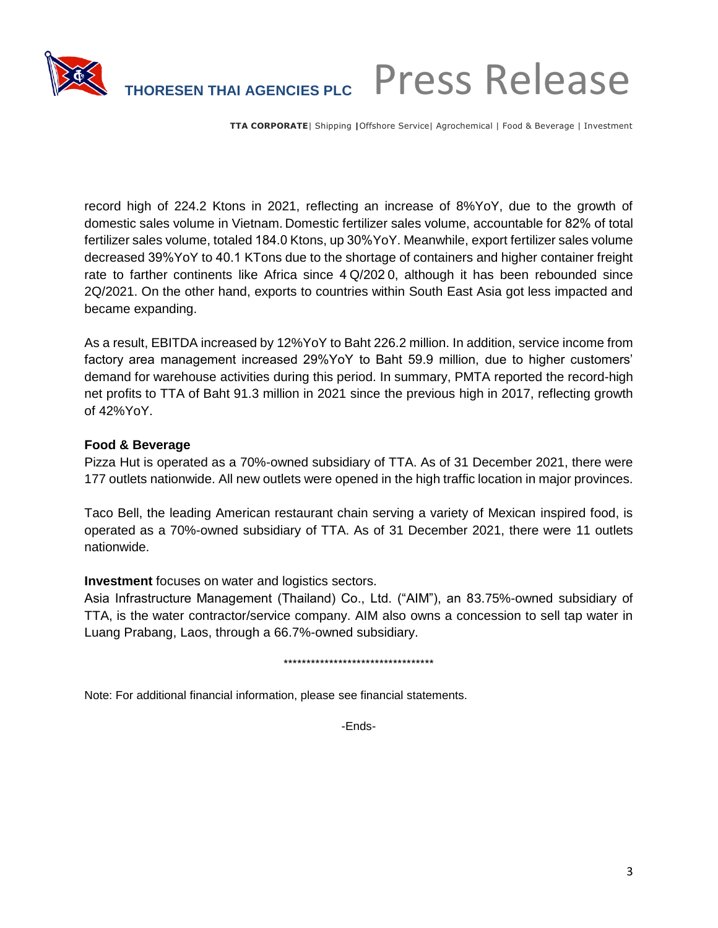

# **THORESEN THAI AGENCIES PLC** Press Release

**TTA CORPORATE**| Shipping **|**Offshore Service| Agrochemical | Food & Beverage | Investment

record high of 224.2 Ktons in 2021, reflecting an increase of 8%YoY, due to the growth of domestic sales volume in Vietnam. Domestic fertilizer sales volume, accountable for 82% of total fertilizer sales volume, totaled 184.0 Ktons, up 30%YoY. Meanwhile, export fertilizer sales volume decreased 39%YoY to 40.1 KTons due to the shortage of containers and higher container freight rate to farther continents like Africa since 4 Q/202 0, although it has been rebounded since 2Q/2021. On the other hand, exports to countries within South East Asia got less impacted and became expanding.

As a result, EBITDA increased by 12%YoY to Baht 226.2 million. In addition, service income from factory area management increased 29%YoY to Baht 59.9 million, due to higher customers' demand for warehouse activities during this period. In summary, PMTA reported the record-high net profits to TTA of Baht 91.3 million in 2021 since the previous high in 2017, reflecting growth of 42%YoY.

### **Food & Beverage**

Pizza Hut is operated as a 70%-owned subsidiary of TTA. As of 31 December 2021, there were 177 outlets nationwide. All new outlets were opened in the high traffic location in major provinces.

Taco Bell, the leading American restaurant chain serving a variety of Mexican inspired food, is operated as a 70%-owned subsidiary of TTA. As of 31 December 2021, there were 11 outlets nationwide.

### **Investment** focuses on water and logistics sectors.

Asia Infrastructure Management (Thailand) Co., Ltd. ("AIM"), an 83.75%-owned subsidiary of TTA, is the water contractor/service company. AIM also owns a concession to sell tap water in Luang Prabang, Laos, through a 66.7%-owned subsidiary.

#### \*\*\*\*\*\*\*\*\*\*\*\*\*\*\*\*\*\*\*\*\*\*\*\*\*\*\*\*\*\*\*\*\*

Note: For additional financial information, please see financial statements.

-Ends-